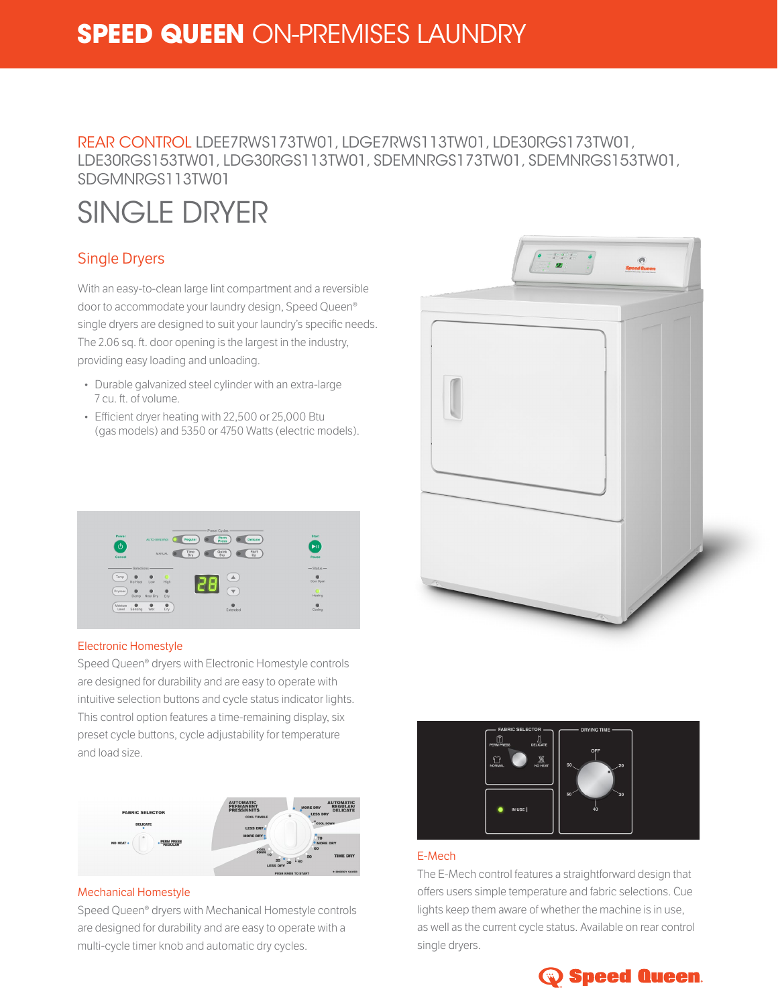# **SPEED QUEEN** ON-PREMISES LAUNDRY

## REAR CONTROL LDEE7RWS173TW01, LDGE7RWS113TW01, LDE30RGS173TW01, LDE30RGS153TW01, LDG30RGS113TW01, SDEMNRGS173TW01, SDEMNRGS153TW01, SDGMNRGS113TW01

# SINGLE DRYER

### Single Dryers

With an easy-to-clean large lint compartment and a reversible door to accommodate your laundry design, Speed Queen® single dryers are designed to suit your laundry's specific needs. The 2.06 sq. ft. door opening is the largest in the industry,

providing easy loading and unloading.

- Durable galvanized steel cylinder with an extra-large 7 cu. ft. of volume.
- Efficient dryer heating with 22,500 or 25,000 Btu (gas models) and 5350 or 4750 Watts (electric models).



#### Electronic Homestyle

Speed Queen® dryers with Electronic Homestyle controls are designed for durability and are easy to operate with intuitive selection buttons and cycle status indicator lights. This control option features a time-remaining display, six preset cycle buttons, cycle adjustability for temperature and load size.



#### Mechanical Homestyle

Speed Queen® dryers with Mechanical Homestyle controls are designed for durability and are easy to operate with a multi-cycle timer knob and automatic dry cycles.





#### E-Mech

The E-Mech control features a straightforward design that offers users simple temperature and fabric selections. Cue lights keep them aware of whether the machine is in use, as well as the current cycle status. Available on rear control single dryers.